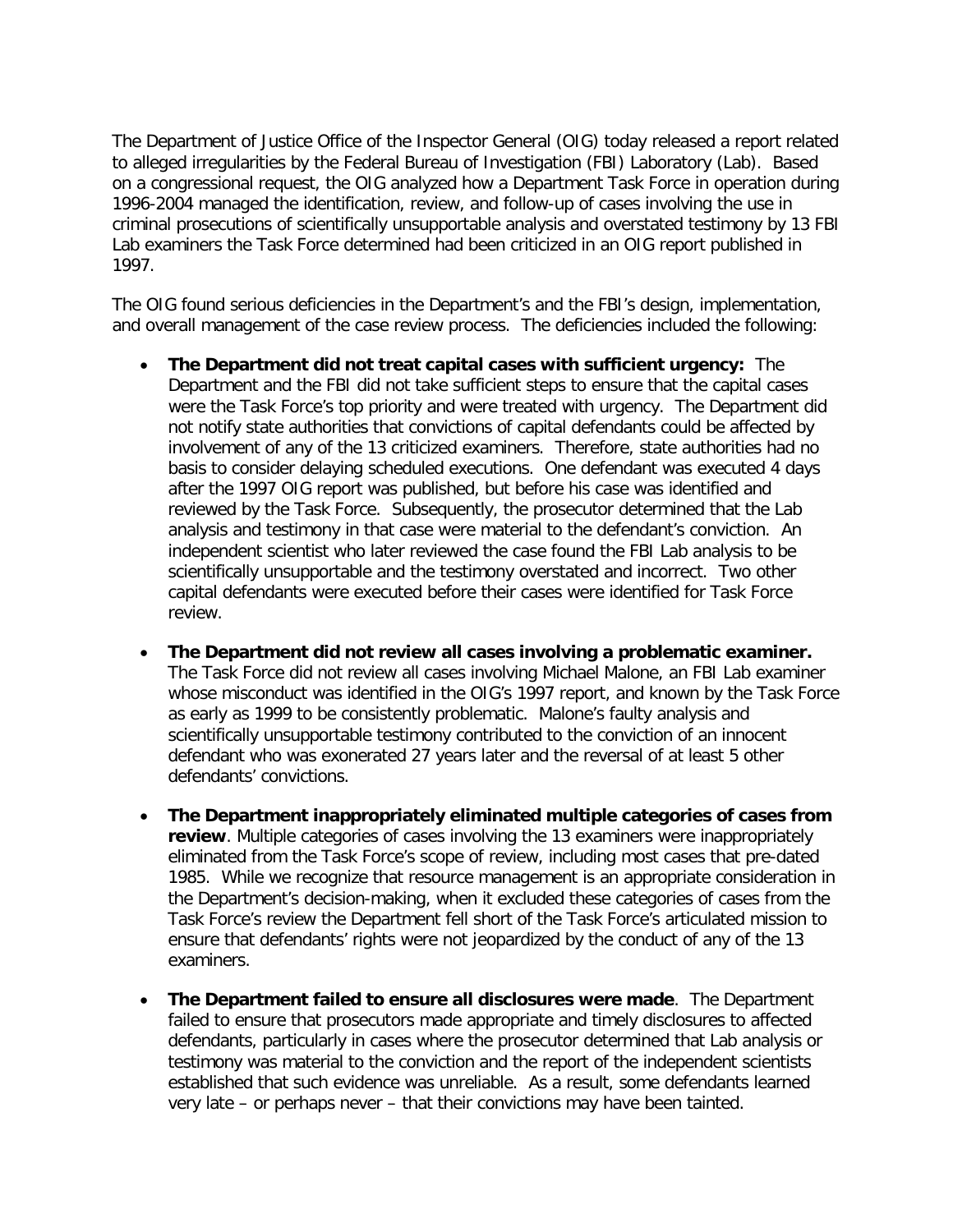The Department of Justice Office of the Inspector General (OIG) today released a report related to alleged irregularities by the Federal Bureau of Investigation (FBI) Laboratory (Lab). Based on a congressional request, the OIG analyzed how a Department Task Force in operation during 1996-2004 managed the identification, review, and follow-up of cases involving the use in criminal prosecutions of scientifically unsupportable analysis and overstated testimony by 13 FBI Lab examiners the Task Force determined had been criticized in an OIG report published in 1997.

The OIG found serious deficiencies in the Department's and the FBI's design, implementation, and overall management of the case review process. The deficiencies included the following:

- **The Department did not treat capital cases with sufficient urgency:** The Department and the FBI did not take sufficient steps to ensure that the capital cases were the Task Force's top priority and were treated with urgency. The Department did not notify state authorities that convictions of capital defendants could be affected by involvement of any of the 13 criticized examiners. Therefore, state authorities had no basis to consider delaying scheduled executions. One defendant was executed 4 days after the 1997 OIG report was published, but before his case was identified and reviewed by the Task Force. Subsequently, the prosecutor determined that the Lab analysis and testimony in that case were material to the defendant's conviction. An independent scientist who later reviewed the case found the FBI Lab analysis to be scientifically unsupportable and the testimony overstated and incorrect. Two other capital defendants were executed before their cases were identified for Task Force review.
- **The Department did not review all cases involving a problematic examiner.** The Task Force did not review all cases involving Michael Malone, an FBI Lab examiner whose misconduct was identified in the OIG's 1997 report, and known by the Task Force as early as 1999 to be consistently problematic. Malone's faulty analysis and scientifically unsupportable testimony contributed to the conviction of an innocent defendant who was exonerated 27 years later and the reversal of at least 5 other defendants' convictions.
- **The Department inappropriately eliminated multiple categories of cases from review**. Multiple categories of cases involving the 13 examiners were inappropriately eliminated from the Task Force's scope of review, including most cases that pre-dated 1985. While we recognize that resource management is an appropriate consideration in the Department's decision-making, when it excluded these categories of cases from the Task Force's review the Department fell short of the Task Force's articulated mission to ensure that defendants' rights were not jeopardized by the conduct of any of the 13 examiners.
- **The Department failed to ensure all disclosures were made**. The Department failed to ensure that prosecutors made appropriate and timely disclosures to affected defendants, particularly in cases where the prosecutor determined that Lab analysis or testimony was material to the conviction and the report of the independent scientists established that such evidence was unreliable. As a result, some defendants learned very late – or perhaps never – that their convictions may have been tainted.